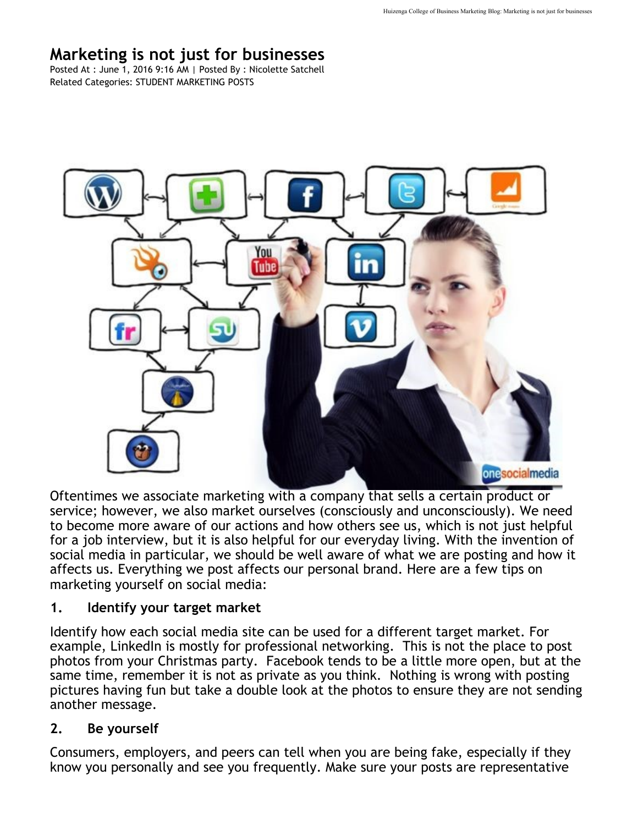# **Marketing is not just for businesses**

Posted At : June 1, 2016 9:16 AM | Posted By : Nicolette Satchell Related Categories: STUDENT MARKETING POSTS



Oftentimes we associate marketing with a company that sells a certain product or service; however, we also market ourselves (consciously and unconsciously). We need to become more aware of our actions and how others see us, which is not just helpful for a job interview, but it is also helpful for our everyday living. With the invention of social media in particular, we should be well aware of what we are posting and how it affects us. Everything we post affects our personal brand. Here are a few tips on marketing yourself on social media:

#### **1. Identify your target market**

Identify how each social media site can be used for a different target market. For example, LinkedIn is mostly for professional networking. This is not the place to post photos from your Christmas party. Facebook tends to be a little more open, but at the same time, remember it is not as private as you think. Nothing is wrong with posting pictures having fun but take a double look at the photos to ensure they are not sending another message.

#### **2. Be yourself**

Consumers, employers, and peers can tell when you are being fake, especially if they know you personally and see you frequently. Make sure your posts are representative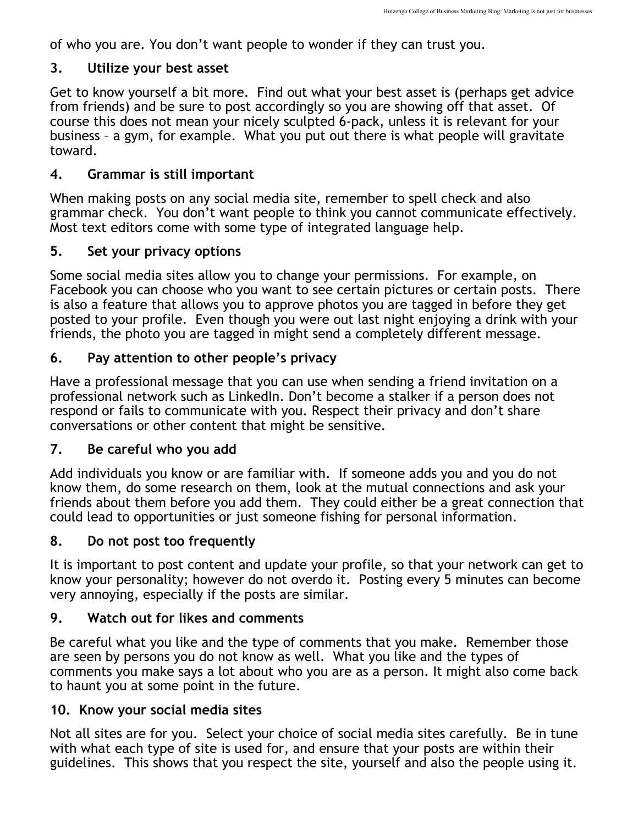of who you are. You don't want people to wonder if they can trust you.

#### **3. Utilize your best asset**

Get to know yourself a bit more. Find out what your best asset is (perhaps get advice from friends) and be sure to post accordingly so you are showing off that asset. Of course this does not mean your nicely sculpted 6-pack, unless it is relevant for your business – a gym, for example. What you put out there is what people will gravitate toward.

### **4. Grammar is still important**

When making posts on any social media site, remember to spell check and also grammar check. You don't want people to think you cannot communicate effectively. Most text editors come with some type of integrated language help.

## **5. Set your privacy options**

Some social media sites allow you to change your permissions. For example, on Facebook you can choose who you want to see certain pictures or certain posts. There is also a feature that allows you to approve photos you are tagged in before they get posted to your profile. Even though you were out last night enjoying a drink with your friends, the photo you are tagged in might send a completely different message.

## **6. Pay attention to other people's privacy**

Have a professional message that you can use when sending a friend invitation on a professional network such as LinkedIn. Don't become a stalker if a person does not respond or fails to communicate with you. Respect their privacy and don't share conversations or other content that might be sensitive.

### **7. Be careful who you add**

Add individuals you know or are familiar with. If someone adds you and you do not know them, do some research on them, look at the mutual connections and ask your friends about them before you add them. They could either be a great connection that could lead to opportunities or just someone fishing for personal information.

# **8. Do not post too frequently**

It is important to post content and update your profile, so that your network can get to know your personality; however do not overdo it. Posting every 5 minutes can become very annoying, especially if the posts are similar.

# **9. Watch out for likes and comments**

Be careful what you like and the type of comments that you make. Remember those are seen by persons you do not know as well. What you like and the types of comments you make says a lot about who you are as a person. It might also come back to haunt you at some point in the future.

### **10. Know your social media sites**

Not all sites are for you. Select your choice of social media sites carefully. Be in tune with what each type of site is used for, and ensure that your posts are within their guidelines. This shows that you respect the site, yourself and also the people using it.